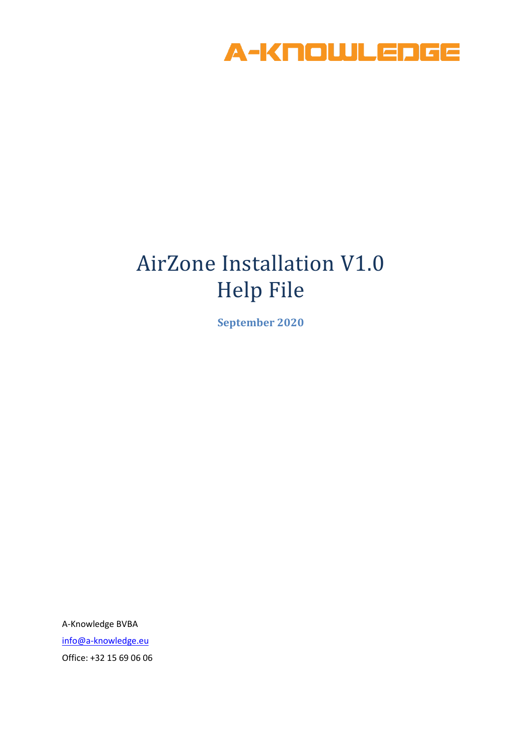

## AirZone Installation V1.0 Help File

**September 2020**

A-Knowledge BVBA [info@a-knowledge.eu](mailto:info@a-knowledge.eu) Office: +32 15 69 06 06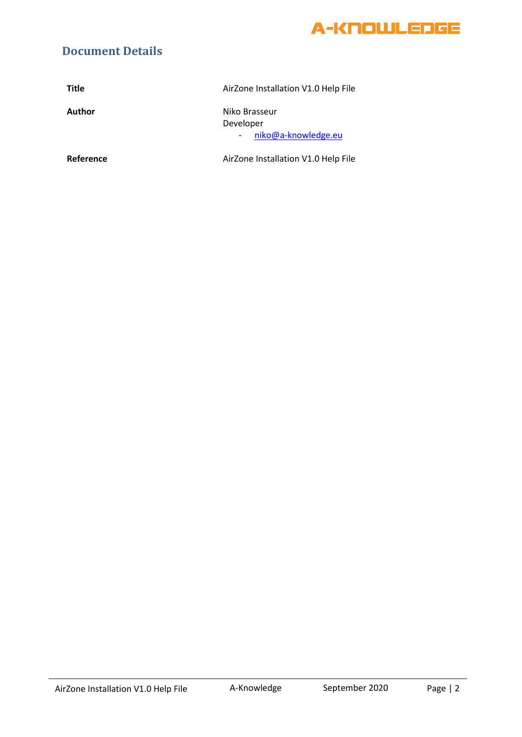

## **Document Details**

| <b>Title</b> | AirZone Installation V1.0 Help File               |
|--------------|---------------------------------------------------|
| Author       | Niko Brasseur<br>Developer<br>niko@a-knowledge.eu |
| Reference    | AirZone Installation V1.0 Help File               |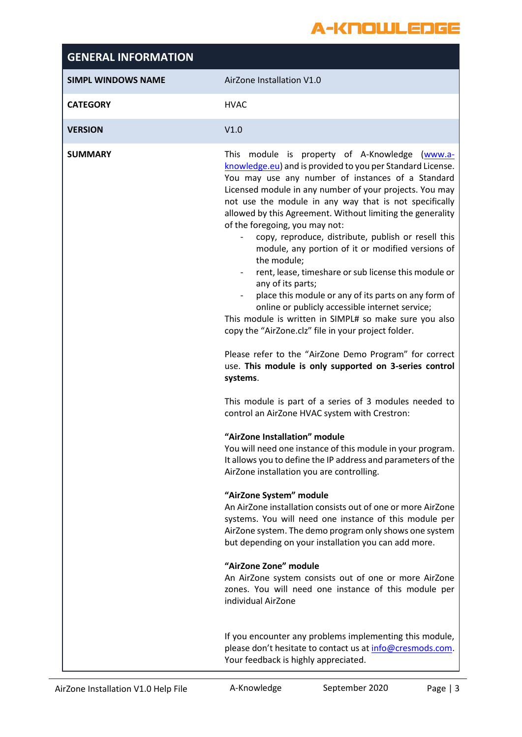## A-KNOWLEDGE

| <b>GENERAL INFORMATION</b> |                                                                                                                                                                                                                                                                                                                                                                                                                                                                                                                                                                                                                                                                                                                                                                                                                                                                                                                                                                                                                                                                                                                                                                                                                                                                                                                                                                                                                                                                                                                                                                                                                                                                                                                                                     |
|----------------------------|-----------------------------------------------------------------------------------------------------------------------------------------------------------------------------------------------------------------------------------------------------------------------------------------------------------------------------------------------------------------------------------------------------------------------------------------------------------------------------------------------------------------------------------------------------------------------------------------------------------------------------------------------------------------------------------------------------------------------------------------------------------------------------------------------------------------------------------------------------------------------------------------------------------------------------------------------------------------------------------------------------------------------------------------------------------------------------------------------------------------------------------------------------------------------------------------------------------------------------------------------------------------------------------------------------------------------------------------------------------------------------------------------------------------------------------------------------------------------------------------------------------------------------------------------------------------------------------------------------------------------------------------------------------------------------------------------------------------------------------------------------|
| <b>SIMPL WINDOWS NAME</b>  | AirZone Installation V1.0                                                                                                                                                                                                                                                                                                                                                                                                                                                                                                                                                                                                                                                                                                                                                                                                                                                                                                                                                                                                                                                                                                                                                                                                                                                                                                                                                                                                                                                                                                                                                                                                                                                                                                                           |
| <b>CATEGORY</b>            | <b>HVAC</b>                                                                                                                                                                                                                                                                                                                                                                                                                                                                                                                                                                                                                                                                                                                                                                                                                                                                                                                                                                                                                                                                                                                                                                                                                                                                                                                                                                                                                                                                                                                                                                                                                                                                                                                                         |
| <b>VERSION</b>             | V1.0                                                                                                                                                                                                                                                                                                                                                                                                                                                                                                                                                                                                                                                                                                                                                                                                                                                                                                                                                                                                                                                                                                                                                                                                                                                                                                                                                                                                                                                                                                                                                                                                                                                                                                                                                |
| <b>SUMMARY</b>             | This module is property of A-Knowledge (www.a-<br>knowledge.eu) and is provided to you per Standard License.<br>You may use any number of instances of a Standard<br>Licensed module in any number of your projects. You may<br>not use the module in any way that is not specifically<br>allowed by this Agreement. Without limiting the generality<br>of the foregoing, you may not:<br>copy, reproduce, distribute, publish or resell this<br>module, any portion of it or modified versions of<br>the module;<br>rent, lease, timeshare or sub license this module or<br>$\overline{\phantom{0}}$<br>any of its parts;<br>place this module or any of its parts on any form of<br>online or publicly accessible internet service;<br>This module is written in SIMPL# so make sure you also<br>copy the "AirZone.clz" file in your project folder.<br>Please refer to the "AirZone Demo Program" for correct<br>use. This module is only supported on 3-series control<br>systems.<br>This module is part of a series of 3 modules needed to<br>control an AirZone HVAC system with Crestron:<br>"AirZone Installation" module<br>You will need one instance of this module in your program.<br>It allows you to define the IP address and parameters of the<br>AirZone installation you are controlling.<br>"AirZone System" module<br>An AirZone installation consists out of one or more AirZone<br>systems. You will need one instance of this module per<br>AirZone system. The demo program only shows one system<br>but depending on your installation you can add more.<br>"AirZone Zone" module<br>An AirZone system consists out of one or more AirZone<br>zones. You will need one instance of this module per<br>individual AirZone |
|                            | If you encounter any problems implementing this module,<br>please don't hesitate to contact us at info@cresmods.com.<br>Your feedback is highly appreciated.                                                                                                                                                                                                                                                                                                                                                                                                                                                                                                                                                                                                                                                                                                                                                                                                                                                                                                                                                                                                                                                                                                                                                                                                                                                                                                                                                                                                                                                                                                                                                                                        |